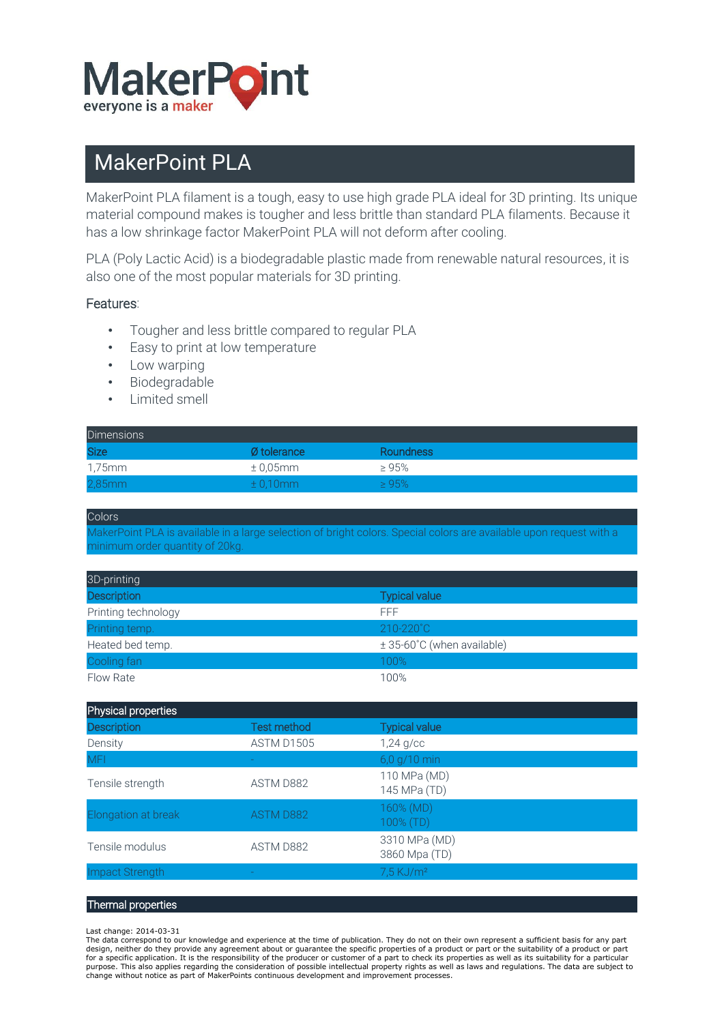

## MakerPoint PLA

MakerPoint PLA filament is a tough, easy to use high grade PLA ideal for 3D printing. Its unique material compound makes is tougher and less brittle than standard PLA filaments. Because it has a low shrinkage factor MakerPoint PLA will not deform after cooling.

PLA (Poly Lactic Acid) is a biodegradable plastic made from renewable natural resources, it is also one of the most popular materials for 3D printing.

## Features:

- Tougher and less brittle compared to regular PLA
- Easy to print at low temperature
- Low warping
- Biodegradable
- Limited smell

| <b>Dimensions</b> |                          |             |
|-------------------|--------------------------|-------------|
| <b>Size</b>       | Ø tolerance              | Roundness   |
| 1,75mm            | $\pm$ 0.05mm             | $\geq 95\%$ |
| $2,85$ mm         | $\pm$ 0.10 $\mathrm{mm}$ | >95%        |

**Colors** 

MakerPoint PLA is available in a large selection of bright colors. Special colors are available upon request with a minimum order quantity of 20kg.

| 3D-printing         |                            |
|---------------------|----------------------------|
| <b>Description</b>  | <b>Typical value</b>       |
| Printing technology | FFF                        |
| Printing temp.      | 210-220°C                  |
| Heated bed temp.    | ± 35-60°C (when available) |
| Cooling fan         | 100%                       |
| Flow Rate           | 100%                       |

| Physical properties |                    |                                |
|---------------------|--------------------|--------------------------------|
| <b>Description</b>  | <b>Test method</b> | <b>Typical value</b>           |
| Density             | ASTM D1505         | $1,24$ g/cc                    |
| <b>MFI</b>          |                    | 6,0 g/10 min                   |
| Tensile strength    | ASTM D882          | 110 MPa (MD)<br>145 MPa (TD)   |
| Elongation at break | ASTM D882          | 160% (MD)<br>100% (TD)         |
| Tensile modulus     | ASTM D882          | 3310 MPa (MD)<br>3860 Mpa (TD) |
| Impact Strength     |                    | $7.5$ KJ/m <sup>2</sup>        |
|                     |                    |                                |

## Thermal properties

## Last change: 2014-03-31

The data correspond to our knowledge and experience at the time of publication. They do not on their own represent a sufficient basis for any part design, neither do they provide any agreement about or guarantee the specific properties of a product or part or the suitability of a product or part<br>for a specific application. It is the responsibility of the producer or purpose. This also applies regarding the consideration of possible intellectual property rights as well as laws and regulations. The data are subject to change without notice as part of MakerPoints continuous development and improvement processes.